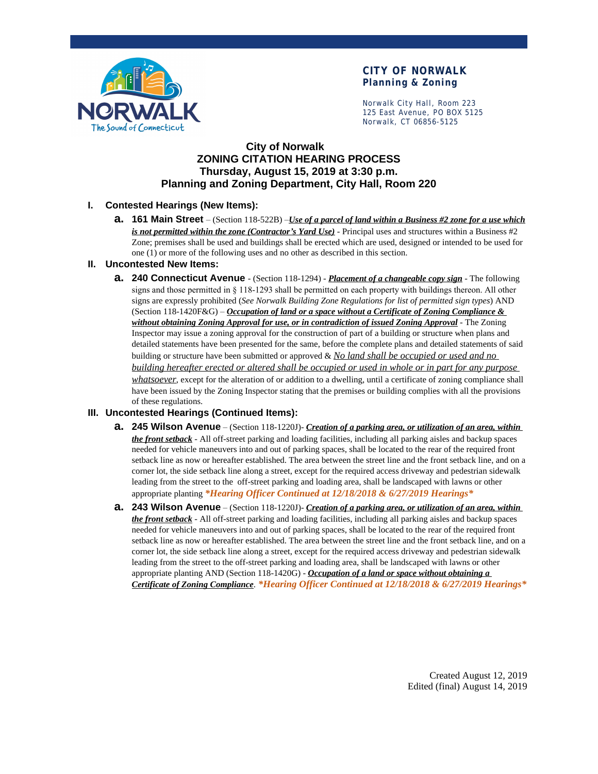

# **CITY OF NORWALK Planning & Zoning**

Norwalk City Hall, Room 223 125 East Avenue, PO BOX 5125 Norwalk, CT 06856-5125

## **City of Norwalk ZONING CITATION HEARING PROCESS Thursday, August 15, 2019 at 3:30 p.m. Planning and Zoning Department, City Hall, Room 220**

### **I. Contested Hearings (New Items):**

**a. 161 Main Street** – (Section 118-522B) –*Use of a parcel of land within a Business #2 zone for a use which is not permitted within the zone (Contractor's Yard Use)* - Principal uses and structures within a Business #2 Zone; premises shall be used and buildings shall be erected which are used, designed or intended to be used for one (1) or more of the following uses and no other as described in this section.

#### **II. Uncontested New Items:**

**a. 240 Connecticut Avenue** - (Section 118-1294) - *Placement of a changeable copy sign* - The following signs and those permitted in § 118-1293 shall be permitted on each property with buildings thereon. All other signs are expressly prohibited (*See Norwalk Building Zone Regulations for list of permitted sign types*) AND (Section 118-1420F&G) – *Occupation of land or a space without a Certificate of Zoning Compliance & without obtaining Zoning Approval for use, or in contradiction of issued Zoning Approval* - The Zoning Inspector may issue a zoning approval for the construction of part of a building or structure when plans and detailed statements have been presented for the same, before the complete plans and detailed statements of said building or structure have been submitted or approved & *No land shall be occupied or used and no building hereafter erected or altered shall be occupied or used in whole or in part for any purpose whatsoever*, except for the alteration of or addition to a dwelling, until a certificate of zoning compliance shall have been issued by the Zoning Inspector stating that the premises or building complies with all the provisions of these regulations.

#### **III. Uncontested Hearings (Continued Items):**

- **a. 245 Wilson Avenue** (Section 118-1220J)- *Creation of a parking area, or utilization of an area, within the front setback* - All off-street parking and loading facilities, including all parking aisles and backup spaces needed for vehicle maneuvers into and out of parking spaces, shall be located to the rear of the required front setback line as now or hereafter established. The area between the street line and the front setback line, and on a corner lot, the side setback line along a street, except for the required access driveway and pedestrian sidewalk leading from the street to the off-street parking and loading area, shall be landscaped with lawns or other appropriate planting *\*Hearing Officer Continued at 12/18/2018 & 6/27/2019 Hearings\**
- **a. 243 Wilson Avenue** (Section 118-1220J)- *Creation of a parking area, or utilization of an area, within the front setback* - All off-street parking and loading facilities, including all parking aisles and backup spaces needed for vehicle maneuvers into and out of parking spaces, shall be located to the rear of the required front setback line as now or hereafter established. The area between the street line and the front setback line, and on a corner lot, the side setback line along a street, except for the required access driveway and pedestrian sidewalk leading from the street to the off-street parking and loading area, shall be landscaped with lawns or other appropriate planting AND (Section 118-1420G) - *Occupation of a land or space without obtaining a Certificate of Zoning Compliance*. *\*Hearing Officer Continued at 12/18/2018 & 6/27/2019 Hearings\**

Created August 12, 2019 Edited (final) August 14, 2019